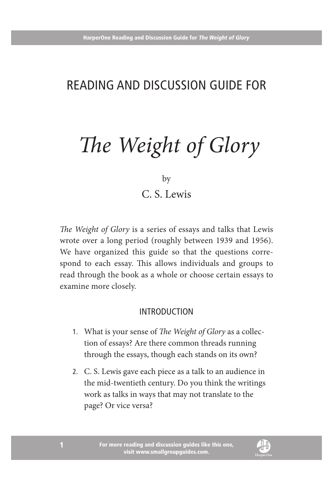## Reading and Discussion Guide for

# *The Weight of Glory*

by

C. S. Lewis

*The Weight of Glory* is a series of essays and talks that Lewis wrote over a long period (roughly between 1939 and 1956). We have organized this guide so that the questions correspond to each essay. This allows individuals and groups to read through the book as a whole or choose certain essays to examine more closely.

#### **INTRODUCTION**

- 1. What is your sense of *The Weight of Glory* as a collection of essays? Are there common threads running through the essays, though each stands on its own?
- 2. C. S. Lewis gave each piece as a talk to an audience in the mid-twentieth century. Do you think the writings work as talks in ways that may not translate to the page? Or vice versa?

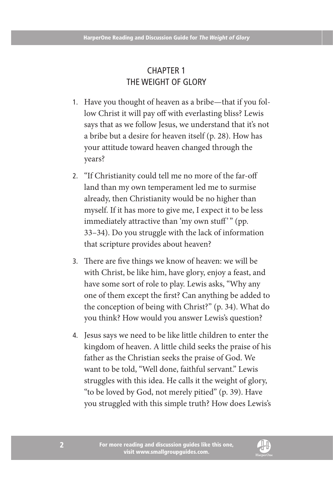### Chapter 1 The Weight of Glory

- 1. Have you thought of heaven as a bribe—that if you follow Christ it will pay off with everlasting bliss? Lewis says that as we follow Jesus, we understand that it's not a bribe but a desire for heaven itself (p. 28). How has your attitude toward heaven changed through the years?
- 2. "If Christianity could tell me no more of the far-off land than my own temperament led me to surmise already, then Christianity would be no higher than myself. If it has more to give me, I expect it to be less immediately attractive than 'my own stuff'" (pp. 33–34). Do you struggle with the lack of information that scripture provides about heaven?
- 3. There are five things we know of heaven: we will be with Christ, be like him, have glory, enjoy a feast, and have some sort of role to play. Lewis asks, "Why any one of them except the first? Can anything be added to the conception of being with Christ?" (p. 34). What do you think? How would you answer Lewis's question?
- 4. Jesus says we need to be like little children to enter the kingdom of heaven. A little child seeks the praise of his father as the Christian seeks the praise of God. We want to be told, "Well done, faithful servant." Lewis struggles with this idea. He calls it the weight of glory, "to be loved by God, not merely pitied" (p. 39). Have you struggled with this simple truth? How does Lewis's

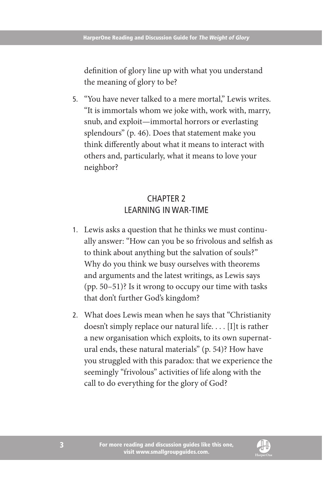definition of glory line up with what you understand the meaning of glory to be?

5. "You have never talked to a mere mortal," Lewis writes. "It is immortals whom we joke with, work with, marry, snub, and exploit—immortal horrors or everlasting splendours" (p. 46). Does that statement make you think differently about what it means to interact with others and, particularly, what it means to love your neighbor?

#### Chapter 2 Learning in War-Time

- 1. Lewis asks a question that he thinks we must continually answer: "How can you be so frivolous and selfish as to think about anything but the salvation of souls?" Why do you think we busy ourselves with theorems and arguments and the latest writings, as Lewis says (pp. 50–51)? Is it wrong to occupy our time with tasks that don't further God's kingdom?
- 2. What does Lewis mean when he says that "Christianity doesn't simply replace our natural life. . . . [I]t is rather a new organisation which exploits, to its own supernatural ends, these natural materials" (p. 54)? How have you struggled with this paradox: that we experience the seemingly "frivolous" activities of life along with the call to do everything for the glory of God?

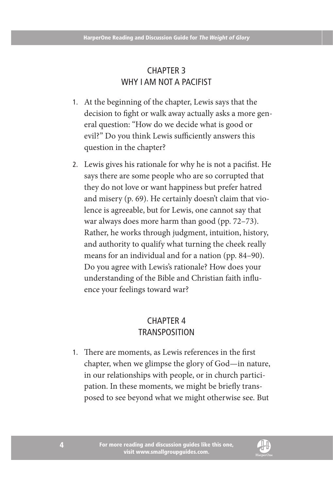#### Chapter 3 WHY I AM NOT A PACIFIST

- 1. At the beginning of the chapter, Lewis says that the decision to fight or walk away actually asks a more general question: "How do we decide what is good or evil?" Do you think Lewis sufficiently answers this question in the chapter?
- 2. Lewis gives his rationale for why he is not a pacifist. He says there are some people who are so corrupted that they do not love or want happiness but prefer hatred and misery (p. 69). He certainly doesn't claim that violence is agreeable, but for Lewis, one cannot say that war always does more harm than good (pp. 72–73). Rather, he works through judgment, intuition, history, and authority to qualify what turning the cheek really means for an individual and for a nation (pp. 84–90). Do you agree with Lewis's rationale? How does your understanding of the Bible and Christian faith influence your feelings toward war?

#### Chapter 4 Transposition

1. There are moments, as Lewis references in the first chapter, when we glimpse the glory of God—in nature, in our relationships with people, or in church participation. In these moments, we might be briefly transposed to see beyond what we might otherwise see. But

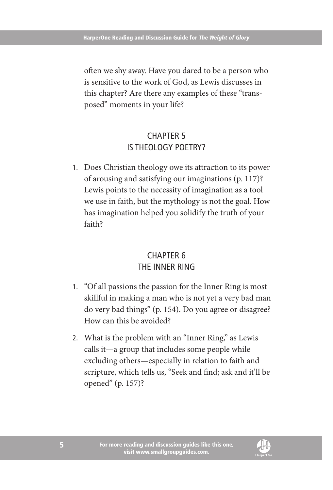often we shy away. Have you dared to be a person who is sensitive to the work of God, as Lewis discusses in this chapter? Are there any examples of these "transposed" moments in your life?

#### Chapter 5 Is Theology Poetry?

1. Does Christian theology owe its attraction to its power of arousing and satisfying our imaginations (p. 117)? Lewis points to the necessity of imagination as a tool we use in faith, but the mythology is not the goal. How has imagination helped you solidify the truth of your faith?

#### Chapter 6 The Inner Ring

- 1. "Of all passions the passion for the Inner Ring is most skillful in making a man who is not yet a very bad man do very bad things" (p. 154). Do you agree or disagree? How can this be avoided?
- 2. What is the problem with an "Inner Ring," as Lewis calls it—a group that includes some people while excluding others—especially in relation to faith and scripture, which tells us, "Seek and find; ask and it'll be opened" (p. 157)?

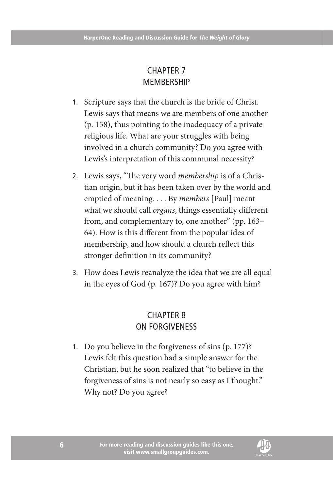#### Chapter 7 **MEMBERSHIP**

- 1. Scripture says that the church is the bride of Christ. Lewis says that means we are members of one another (p. 158), thus pointing to the inadequacy of a private religious life. What are your struggles with being involved in a church community? Do you agree with Lewis's interpretation of this communal necessity?
- 2. Lewis says, "The very word *membership* is of a Christian origin, but it has been taken over by the world and emptied of meaning. . . . By *members* [Paul] meant what we should call *organs*, things essentially different from, and complementary to, one another" (pp. 163– 64). How is this different from the popular idea of membership, and how should a church reflect this stronger definition in its community?
- 3. How does Lewis reanalyze the idea that we are all equal in the eyes of God (p. 167)? Do you agree with him?

#### Chapter 8 On Forgiveness

1. Do you believe in the forgiveness of sins (p. 177)? Lewis felt this question had a simple answer for the Christian, but he soon realized that "to believe in the forgiveness of sins is not nearly so easy as I thought." Why not? Do you agree?